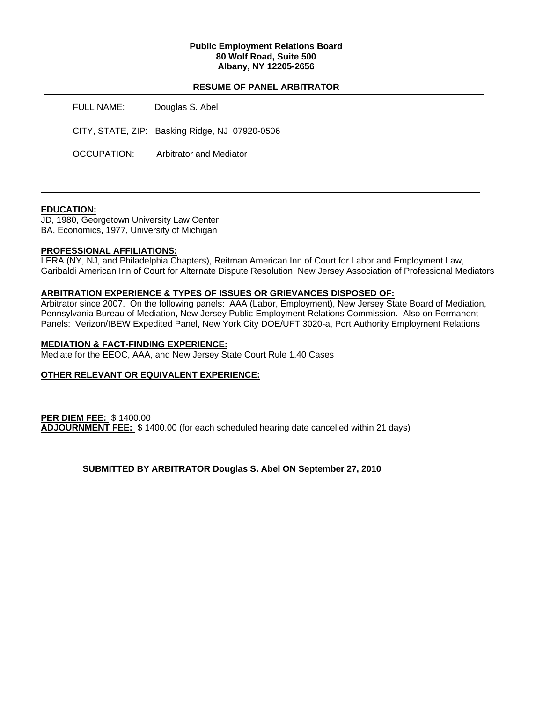### **Public Employment Relations Board 80 Wolf Road, Suite 500 Albany, NY 12205-2656**

# **RESUME OF PANEL ARBITRATOR**

FULL NAME: Douglas S. Abel CITY, STATE, ZIP: Basking Ridge, NJ 07920-0506 OCCUPATION: Arbitrator and Mediator

### **EDUCATION:**

JD, 1980, Georgetown University Law Center BA, Economics, 1977, University of Michigan

# **PROFESSIONAL AFFILIATIONS:**

LERA (NY, NJ, and Philadelphia Chapters), Reitman American Inn of Court for Labor and Employment Law, Garibaldi American Inn of Court for Alternate Dispute Resolution, New Jersey Association of Professional Mediators

# **ARBITRATION EXPERIENCE & TYPES OF ISSUES OR GRIEVANCES DISPOSED OF:**

Arbitrator since 2007. On the following panels: AAA (Labor, Employment), New Jersey State Board of Mediation, Pennsylvania Bureau of Mediation, New Jersey Public Employment Relations Commission. Also on Permanent Panels: Verizon/IBEW Expedited Panel, New York City DOE/UFT 3020-a, Port Authority Employment Relations

### **MEDIATION & FACT-FINDING EXPERIENCE:**

Mediate for the EEOC, AAA, and New Jersey State Court Rule 1.40 Cases

# **OTHER RELEVANT OR EQUIVALENT EXPERIENCE:**

**PER DIEM FEE:** \$ 1400.00 **ADJOURNMENT FEE:** \$ 1400.00 (for each scheduled hearing date cancelled within 21 days)

**SUBMITTED BY ARBITRATOR Douglas S. Abel ON September 27, 2010**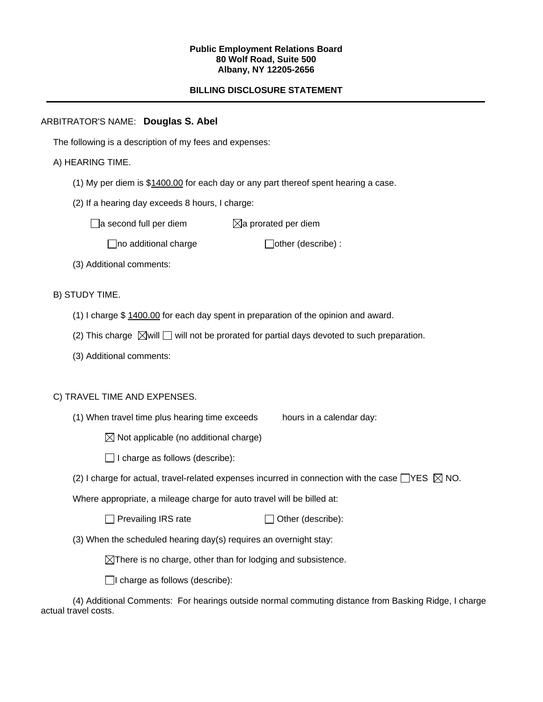#### **Public Employment Relations Board 80 Wolf Road, Suite 500 Albany, NY 12205-2656**

# **BILLING DISCLOSURE STATEMENT**

# ARBITRATOR'S NAME: **Douglas S. Abel**

The following is a description of my fees and expenses:

# A) HEARING TIME.

- (1) My per diem is \$1400.00 for each day or any part thereof spent hearing a case.
- (2) If a hearing day exceeds 8 hours, I charge:

 $\Box$ a second full per diem  $\boxtimes$ a prorated per diem

 $\Box$ no additional charge  $\Box$ other (describe) :

(3) Additional comments:

B) STUDY TIME.

- (1) I charge \$ 1400.00 for each day spent in preparation of the opinion and award.
- (2) This charge  $\boxtimes$  will  $\Box$  will not be prorated for partial days devoted to such preparation.
- (3) Additional comments:

### C) TRAVEL TIME AND EXPENSES.

- (1) When travel time plus hearing time exceeds hours in a calendar day:
	- $\boxtimes$  Not applicable (no additional charge)
	- $\Box$  I charge as follows (describe):
- (2) I charge for actual, travel-related expenses incurred in connection with the case  $\Box$ YES  $\boxtimes$  NO.

Where appropriate, a mileage charge for auto travel will be billed at:

| $\Box$ Prevailing IRS rate | $\Box$ Other (describe): |
|----------------------------|--------------------------|
|----------------------------|--------------------------|

(3) When the scheduled hearing day(s) requires an overnight stay:

 $\boxtimes$ There is no charge, other than for lodging and subsistence.

 $\Box$ I charge as follows (describe):

(4) Additional Comments: For hearings outside normal commuting distance from Basking Ridge, I charge actual travel costs.